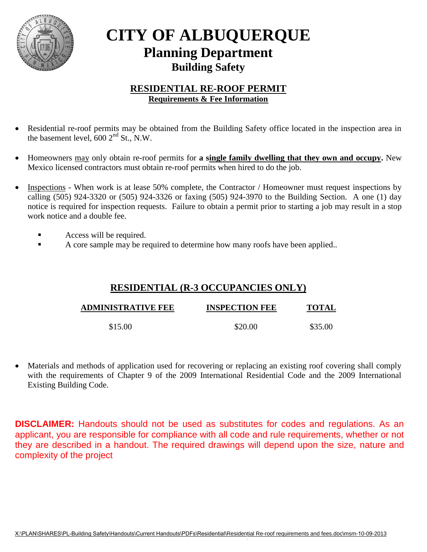

## **CITY OF ALBUQUERQUE Planning Department Building Safety**

## **RESIDENTIAL RE-ROOF PERMIT Requirements & Fee Information**

- Residential re-roof permits may be obtained from the Building Safety office located in the inspection area in the basement level,  $600 \, 2^{nd}$  St., N.W.
- Homeowners may only obtain re-roof permits for **a single family dwelling that they own and occupy.** New Mexico licensed contractors must obtain re-roof permits when hired to do the job.
- Inspections When work is at lease 50% complete, the Contractor / Homeowner must request inspections by calling (505) 924-3320 or (505) 924-3326 or faxing (505) 924-3970 to the Building Section. A one (1) day notice is required for inspection requests.Failure to obtain a permit prior to starting a job may result in a stop work notice and a double fee.
	- Access will be required.
	- A core sample may be required to determine how many roofs have been applied..

## **RESIDENTIAL (R-3 OCCUPANCIES ONLY)**

| <b>ADMINISTRATIVE FEE</b> | <b>INSPECTION FEE</b> | <b>TOTAL</b> |
|---------------------------|-----------------------|--------------|
| \$15.00                   | \$20.00               | \$35.00      |

 Materials and methods of application used for recovering or replacing an existing roof covering shall comply with the requirements of Chapter 9 of the 2009 International Residential Code and the 2009 International Existing Building Code.

**DISCLAIMER:** Handouts should not be used as substitutes for codes and regulations. As an applicant, you are responsible for compliance with all code and rule requirements, whether or not they are described in a handout. The required drawings will depend upon the size, nature and complexity of the project